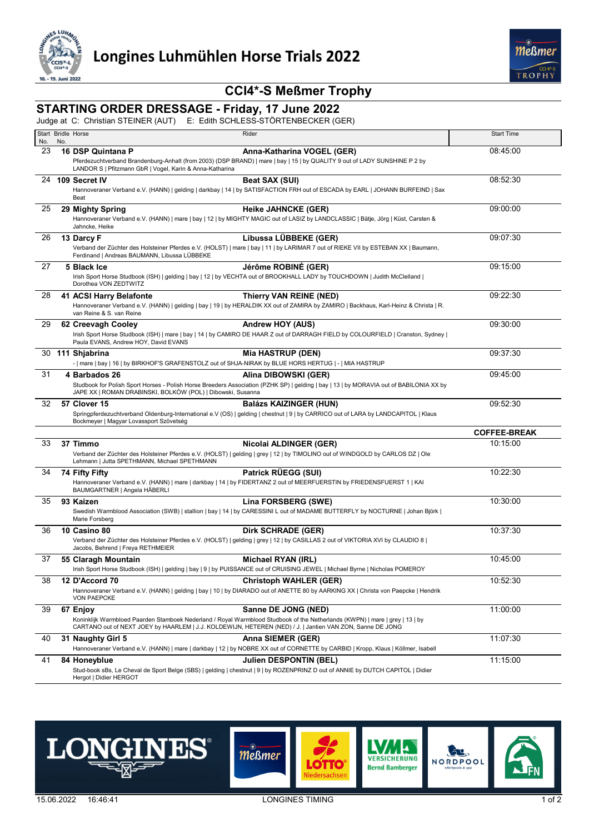



## **CCI4\*-S Meßmer Trophy**

## **STARTING ORDER DRESSAGE - Friday, 17 June 2022**

Judge at C: Christian STEINER (AUT) E: Edith SCHLESS-STÖRTENBECKER (GER)

| No. | Start Bridle Horse<br>No.                                                                              | Rider                                                                                                                                                                                                                                     | <b>Start Time</b>   |
|-----|--------------------------------------------------------------------------------------------------------|-------------------------------------------------------------------------------------------------------------------------------------------------------------------------------------------------------------------------------------------|---------------------|
| 23  | 16 DSP Quintana P                                                                                      | Anna-Katharina VOGEL (GER)                                                                                                                                                                                                                | 08:45:00            |
|     | LANDOR S   Pfitzmann GbR   Vogel, Karin & Anna-Katharina                                               | Pferdezuchtverband Brandenburg-Anhalt (from 2003) (DSP BRAND)   mare   bay   15   by QUALITY 9 out of LADY SUNSHINE P 2 by                                                                                                                |                     |
|     | 24 109 Secret IV                                                                                       | Beat SAX (SUI)                                                                                                                                                                                                                            | 08:52:30            |
|     | Beat                                                                                                   | Hannoveraner Verband e.V. (HANN)   gelding   darkbay   14   by SATISFACTION FRH out of ESCADA by EARL   JOHANN BURFEIND   Sax                                                                                                             |                     |
| 25  | 29 Mighty Spring                                                                                       | <b>Heike JAHNCKE (GER)</b>                                                                                                                                                                                                                | 09:00:00            |
|     | Jahncke, Heike                                                                                         | Hannoveraner Verband e.V. (HANN)   mare   bay   12   by MIGHTY MAGIC out of LASIZ by LANDCLASSIC   Bätje, Jörg   Küst, Carsten &                                                                                                          |                     |
| 26  | 13 Darcy F                                                                                             | Libussa LÜBBEKE (GER)                                                                                                                                                                                                                     | 09:07:30            |
|     | Ferdinand   Andreas BAUMANN, Libussa LÜBBEKE                                                           | Verband der Züchter des Holsteiner Pferdes e.V. (HOLST)   mare   bay   11   by LARIMAR 7 out of RIEKE VII by ESTEBAN XX   Baumann,                                                                                                        |                     |
| 27  | 5 Black Ice                                                                                            | Jérôme ROBINÉ (GER)                                                                                                                                                                                                                       | 09:15:00            |
|     | Dorothea VON ZEDTWITZ                                                                                  | Irish Sport Horse Studbook (ISH)   gelding   bay   12   by VECHTA out of BROOKHALL LADY by TOUCHDOWN   Judith McClelland                                                                                                                  |                     |
| 28  | 41 ACSI Harry Belafonte                                                                                | <b>Thierry VAN REINE (NED)</b>                                                                                                                                                                                                            | 09:22:30            |
|     | van Reine & S. van Reine                                                                               | Hannoveraner Verband e.V. (HANN)   gelding   bay   19   by HERALDIK XX out of ZAMIRA by ZAMIRO   Backhaus, Karl-Heinz & Christa   R.                                                                                                      |                     |
| 29  | 62 Creevagh Cooley                                                                                     | Andrew HOY (AUS)                                                                                                                                                                                                                          | 09:30:00            |
|     | Paula EVANS, Andrew HOY, David EVANS                                                                   | Irish Sport Horse Studbook (ISH)   mare   bay   14   by CAMIRO DE HAAR Z out of DARRAGH FIELD by COLOURFIELD   Cranston, Sydney                                                                                                           |                     |
|     | 30 111 Shjabrina                                                                                       | <b>Mia HASTRUP (DEN)</b>                                                                                                                                                                                                                  | 09:37:30            |
|     | -   mare   bay   16   by BIRKHOF'S GRAFENSTOLZ out of SHJA-NIRAK by BLUE HORS HERTUG   -   MIA HASTRUP |                                                                                                                                                                                                                                           |                     |
| 31  | 4 Barbados 26                                                                                          | Alina DIBOWSKI (GER)                                                                                                                                                                                                                      | 09:45:00            |
|     | JAPE XX   ROMAN DRABINSKI, BOLKÓW (POL)   Dibowski, Susanna                                            | Studbook for Polish Sport Horses - Polish Horse Breeders Association (PZHK SP)   gelding   bay   13   by MORAVIA out of BABILONIA XX by                                                                                                   |                     |
| 32  | 57 Clover 15                                                                                           | <b>Balázs KAIZINGER (HUN)</b>                                                                                                                                                                                                             | 09:52:30            |
|     | Bockmeyer   Magyar Lovassport Szövetség                                                                | Springpferdezuchtverband Oldenburg-International e.V (OS)   gelding   chestnut   9   by CARRICO out of LARA by LANDCAPITOL   Klaus                                                                                                        |                     |
|     |                                                                                                        |                                                                                                                                                                                                                                           | <b>COFFEE-BREAK</b> |
| 33  | 37 Timmo                                                                                               | Nicolai ALDINGER (GER)                                                                                                                                                                                                                    | 10:15:00            |
|     |                                                                                                        |                                                                                                                                                                                                                                           |                     |
|     | Lehmann   Jutta SPETHMANN, Michael SPETHMANN                                                           | Verband der Züchter des Holsteiner Pferdes e.V. (HOLST)   gelding   grey   12   by TIMOLINO out of WINDGOLD by CARLOS DZ   Ole                                                                                                            |                     |
| 34  | 74 Fifty Fifty                                                                                         | Patrick RÜEGG (SUI)                                                                                                                                                                                                                       | 10:22:30            |
|     | BAUMGARTNER   Angela HÄBERLI                                                                           | Hannoveraner Verband e.V. (HANN)   mare   darkbay   14   by FIDERTANZ 2 out of MEERFUERSTIN by FRIEDENSFUERST 1   KAI                                                                                                                     |                     |
| 35  | 93 Kaizen                                                                                              | <b>Lina FORSBERG (SWE)</b>                                                                                                                                                                                                                | 10:30:00            |
|     | Marie Forsberg                                                                                         | Swedish Warmblood Association (SWB)   stallion   bay   14   by CARESSINI L out of MADAME BUTTERFLY by NOCTURNE   Johan Björk                                                                                                              |                     |
| 36  | 10 Casino 80                                                                                           | <b>Dirk SCHRADE (GER)</b>                                                                                                                                                                                                                 | 10:37:30            |
|     | Jacobs, Behrend   Freya RETHMEIER                                                                      | Verband der Züchter des Holsteiner Pferdes e.V. (HOLST)   gelding   grey   12   by CASILLAS 2 out of VIKTORIA XVI by CLAUDIO 8                                                                                                            |                     |
| 37  | 55 Claragh Mountain                                                                                    | Michael RYAN (IRL)                                                                                                                                                                                                                        | 10:45:00            |
|     |                                                                                                        | Irish Sport Horse Studbook (ISH)   gelding   bay   9   by PUISSANCE out of CRUISING JEWEL   Michael Byrne   Nicholas POMEROY                                                                                                              |                     |
| 38  | 12 D'Accord 70<br><b>VON PAEPCKE</b>                                                                   | <b>Christoph WAHLER (GER)</b><br>Hannoveraner Verband e.V. (HANN)   gelding   bay   10   by DIARADO out of ANETTE 80 by AARKING XX   Christa von Paepcke   Hendrik                                                                        | 10:52:30            |
| 39  | 67 Enjoy                                                                                               | Sanne DE JONG (NED)                                                                                                                                                                                                                       | 11:00:00            |
|     |                                                                                                        | Koninklijk Warmbloed Paarden Stamboek Nederland / Royal Warmblood Studbook of the Netherlands (KWPN)   mare   grey   13   by<br>CARTANO out of NEXT JOEY by HAARLEM   J.J. KOLDEWIJN, HETEREN (NED) / J.   Jantien VAN ZON, Sanne DE JONG |                     |
| 40  | 31 Naughty Girl 5                                                                                      | Anna SIEMER (GER)                                                                                                                                                                                                                         | 11:07:30            |
|     |                                                                                                        | Hannoveraner Verband e.V. (HANN)   mare   darkbay   12   by NOBRE XX out of CORNETTE by CARBID   Kropp, Klaus   Köllmer, Isabell                                                                                                          |                     |
| 41  | 84 Honeyblue                                                                                           | Julien DESPONTIN (BEL)<br>Stud-book sBs, Le Cheval de Sport Belge (SBS)   gelding   chestnut   9   by ROZENPRINZ D out of ANNIE by DUTCH CAPITOL   Didier                                                                                 | 11:15:00            |